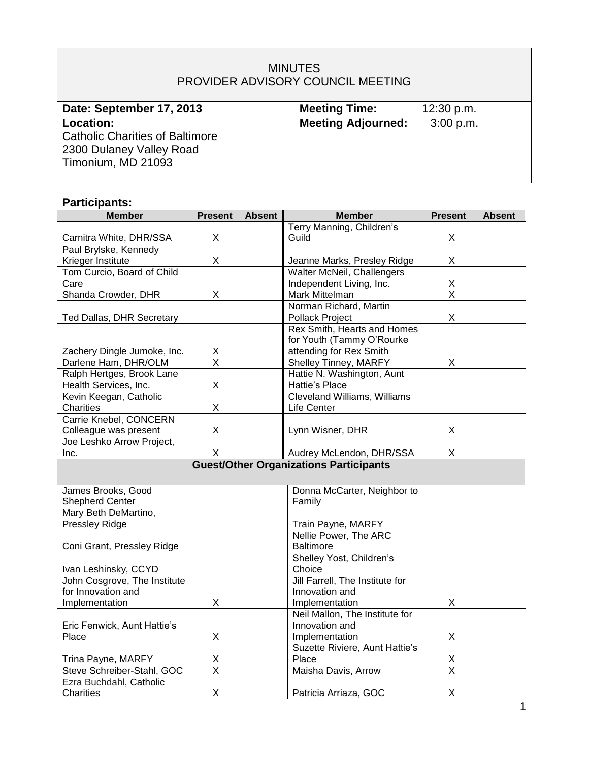## MINUTES PROVIDER ADVISORY COUNCIL MEETING

| Date: September 17, 2013               | <b>Meeting Time:</b>      | 12:30 p.m.  |
|----------------------------------------|---------------------------|-------------|
| Location:                              | <b>Meeting Adjourned:</b> | $3:00$ p.m. |
| <b>Catholic Charities of Baltimore</b> |                           |             |
| 2300 Dulaney Valley Road               |                           |             |
| Timonium, MD 21093                     |                           |             |
|                                        |                           |             |

# **Participants:**

| <b>Member</b>                                 | <b>Present</b>          | <b>Absent</b> | <b>Member</b>                   | <b>Present</b>          | <b>Absent</b> |  |
|-----------------------------------------------|-------------------------|---------------|---------------------------------|-------------------------|---------------|--|
|                                               |                         |               | Terry Manning, Children's       |                         |               |  |
| Carnitra White, DHR/SSA                       | X                       |               | Guild                           | X                       |               |  |
| Paul Brylske, Kennedy                         |                         |               |                                 |                         |               |  |
| Krieger Institute                             | X                       |               | Jeanne Marks, Presley Ridge     | X                       |               |  |
| Tom Curcio, Board of Child                    |                         |               | Walter McNeil, Challengers      |                         |               |  |
| Care                                          |                         |               | Independent Living, Inc.        | $\frac{x}{x}$           |               |  |
| Shanda Crowder, DHR                           | X                       |               | Mark Mittelman                  |                         |               |  |
|                                               |                         |               | Norman Richard, Martin          |                         |               |  |
| Ted Dallas, DHR Secretary                     |                         |               | Pollack Project                 | X                       |               |  |
|                                               |                         |               | Rex Smith, Hearts and Homes     |                         |               |  |
|                                               |                         |               | for Youth (Tammy O'Rourke       |                         |               |  |
| Zachery Dingle Jumoke, Inc.                   | X                       |               | attending for Rex Smith         |                         |               |  |
| Darlene Ham, DHR/OLM                          | $\overline{\mathsf{x}}$ |               | Shelley Tinney, MARFY           | X                       |               |  |
| Ralph Hertges, Brook Lane                     |                         |               | Hattie N. Washington, Aunt      |                         |               |  |
| Health Services, Inc.                         | X                       |               | Hattie's Place                  |                         |               |  |
| Kevin Keegan, Catholic                        |                         |               | Cleveland Williams, Williams    |                         |               |  |
| <b>Charities</b>                              | Χ                       |               | Life Center                     |                         |               |  |
| Carrie Knebel, CONCERN                        |                         |               |                                 |                         |               |  |
| Colleague was present                         | X                       |               | Lynn Wisner, DHR                | X                       |               |  |
| Joe Leshko Arrow Project,                     |                         |               |                                 |                         |               |  |
| Inc.                                          | X                       |               | Audrey McLendon, DHR/SSA        | X                       |               |  |
| <b>Guest/Other Organizations Participants</b> |                         |               |                                 |                         |               |  |
|                                               |                         |               |                                 |                         |               |  |
| James Brooks, Good                            |                         |               | Donna McCarter, Neighbor to     |                         |               |  |
| <b>Shepherd Center</b>                        |                         |               | Family                          |                         |               |  |
| Mary Beth DeMartino,                          |                         |               |                                 |                         |               |  |
| <b>Pressley Ridge</b>                         |                         |               | Train Payne, MARFY              |                         |               |  |
|                                               |                         |               | Nellie Power, The ARC           |                         |               |  |
| Coni Grant, Pressley Ridge                    |                         |               | Baltimore                       |                         |               |  |
|                                               |                         |               | Shelley Yost, Children's        |                         |               |  |
| Ivan Leshinsky, CCYD                          |                         |               | Choice                          |                         |               |  |
| John Cosgrove, The Institute                  |                         |               | Jill Farrell, The Institute for |                         |               |  |
| for Innovation and                            |                         |               | Innovation and                  |                         |               |  |
| Implementation                                | X                       |               | Implementation                  | X                       |               |  |
|                                               |                         |               | Neil Mallon, The Institute for  |                         |               |  |
| Eric Fenwick, Aunt Hattie's                   |                         |               | Innovation and                  |                         |               |  |
| Place                                         | X                       |               | Implementation                  | X                       |               |  |
|                                               |                         |               | Suzette Riviere, Aunt Hattie's  |                         |               |  |
| Trina Payne, MARFY                            | Χ                       |               | Place                           | X                       |               |  |
| Steve Schreiber-Stahl, GOC                    | $\overline{\mathsf{x}}$ |               | Maisha Davis, Arrow             | $\overline{\mathsf{x}}$ |               |  |
| Ezra Buchdahl, Catholic                       |                         |               |                                 |                         |               |  |
| Charities                                     | X                       |               | Patricia Arriaza, GOC           | X                       |               |  |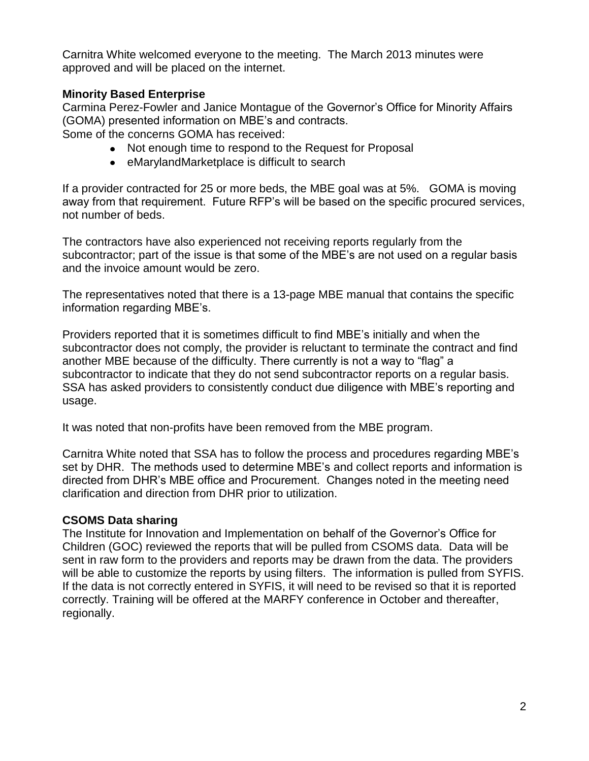Carnitra White welcomed everyone to the meeting. The March 2013 minutes were approved and will be placed on the internet.

## **Minority Based Enterprise**

Carmina Perez-Fowler and Janice Montague of the Governor's Office for Minority Affairs (GOMA) presented information on MBE's and contracts.

Some of the concerns GOMA has received:

- Not enough time to respond to the Request for Proposal
- eMarylandMarketplace is difficult to search

If a provider contracted for 25 or more beds, the MBE goal was at 5%. GOMA is moving away from that requirement. Future RFP's will be based on the specific procured services, not number of beds.

The contractors have also experienced not receiving reports regularly from the subcontractor; part of the issue is that some of the MBE's are not used on a regular basis and the invoice amount would be zero.

The representatives noted that there is a 13-page MBE manual that contains the specific information regarding MBE's.

Providers reported that it is sometimes difficult to find MBE's initially and when the subcontractor does not comply, the provider is reluctant to terminate the contract and find another MBE because of the difficulty. There currently is not a way to "flag" a subcontractor to indicate that they do not send subcontractor reports on a regular basis. SSA has asked providers to consistently conduct due diligence with MBE's reporting and usage.

It was noted that non-profits have been removed from the MBE program.

Carnitra White noted that SSA has to follow the process and procedures regarding MBE's set by DHR. The methods used to determine MBE's and collect reports and information is directed from DHR's MBE office and Procurement. Changes noted in the meeting need clarification and direction from DHR prior to utilization.

#### **CSOMS Data sharing**

The Institute for Innovation and Implementation on behalf of the Governor's Office for Children (GOC) reviewed the reports that will be pulled from CSOMS data. Data will be sent in raw form to the providers and reports may be drawn from the data. The providers will be able to customize the reports by using filters. The information is pulled from SYFIS. If the data is not correctly entered in SYFIS, it will need to be revised so that it is reported correctly. Training will be offered at the MARFY conference in October and thereafter, regionally.